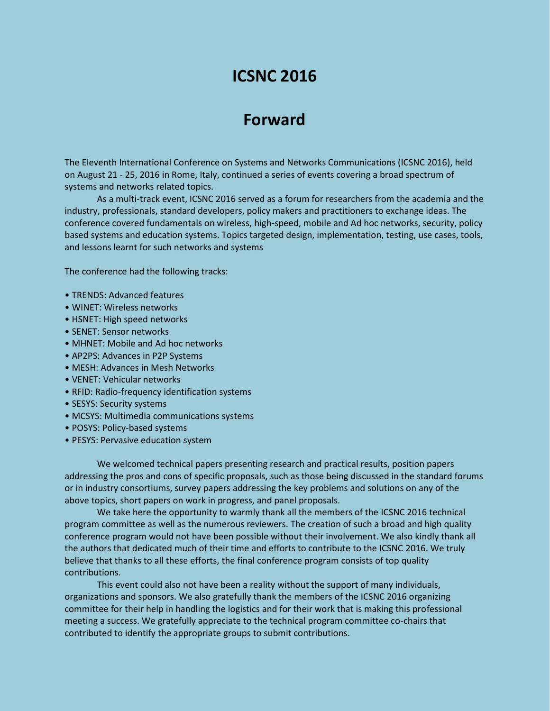# **ICSNC 2016**

# **Forward**

The Eleventh International Conference on Systems and Networks Communications (ICSNC 2016), held on August 21 - 25, 2016 in Rome, Italy, continued a series of events covering a broad spectrum of systems and networks related topics.

As a multi-track event, ICSNC 2016 served as a forum for researchers from the academia and the industry, professionals, standard developers, policy makers and practitioners to exchange ideas. The conference covered fundamentals on wireless, high-speed, mobile and Ad hoc networks, security, policy based systems and education systems. Topics targeted design, implementation, testing, use cases, tools, and lessons learnt for such networks and systems

The conference had the following tracks:

- TRENDS: Advanced features
- WINET: Wireless networks
- HSNET: High speed networks
- SENET: Sensor networks
- MHNET: Mobile and Ad hoc networks
- AP2PS: Advances in P2P Systems
- MESH: Advances in Mesh Networks
- VENET: Vehicular networks
- RFID: Radio-frequency identification systems
- SESYS: Security systems
- MCSYS: Multimedia communications systems
- POSYS: Policy-based systems
- PESYS: Pervasive education system

We welcomed technical papers presenting research and practical results, position papers addressing the pros and cons of specific proposals, such as those being discussed in the standard forums or in industry consortiums, survey papers addressing the key problems and solutions on any of the above topics, short papers on work in progress, and panel proposals.

We take here the opportunity to warmly thank all the members of the ICSNC 2016 technical program committee as well as the numerous reviewers. The creation of such a broad and high quality conference program would not have been possible without their involvement. We also kindly thank all the authors that dedicated much of their time and efforts to contribute to the ICSNC 2016. We truly believe that thanks to all these efforts, the final conference program consists of top quality contributions.

This event could also not have been a reality without the support of many individuals, organizations and sponsors. We also gratefully thank the members of the ICSNC 2016 organizing committee for their help in handling the logistics and for their work that is making this professional meeting a success. We gratefully appreciate to the technical program committee co-chairs that contributed to identify the appropriate groups to submit contributions.